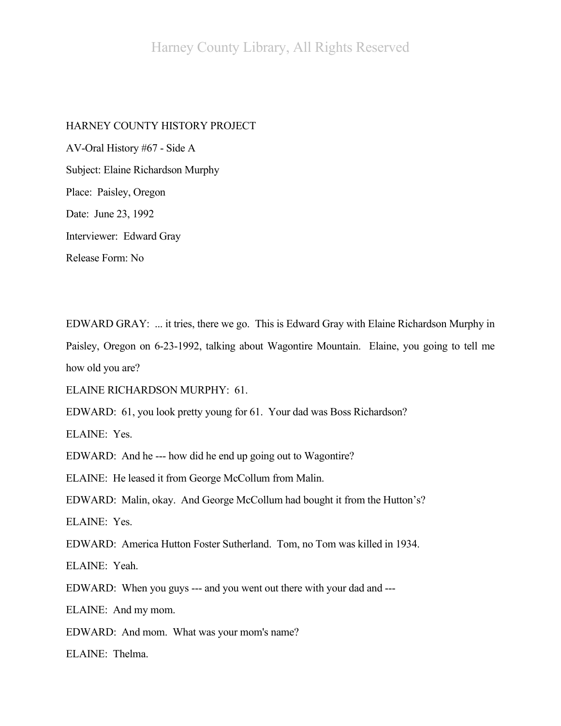Harney County Library, All Rights Reserved

## HARNEY COUNTY HISTORY PROJECT

AV-Oral History #67 - Side A Subject: Elaine Richardson Murphy Place: Paisley, Oregon Date: June 23, 1992 Interviewer: Edward Gray Release Form: No

EDWARD GRAY: ... it tries, there we go. This is Edward Gray with Elaine Richardson Murphy in Paisley, Oregon on 6-23-1992, talking about Wagontire Mountain. Elaine, you going to tell me how old you are?

ELAINE RICHARDSON MURPHY: 61.

EDWARD: 61, you look pretty young for 61. Your dad was Boss Richardson?

ELAINE: Yes.

EDWARD: And he --- how did he end up going out to Wagontire?

ELAINE: He leased it from George McCollum from Malin.

EDWARD: Malin, okay. And George McCollum had bought it from the Hutton's?

ELAINE: Yes.

EDWARD: America Hutton Foster Sutherland. Tom, no Tom was killed in 1934.

ELAINE: Yeah.

EDWARD: When you guys --- and you went out there with your dad and ---

ELAINE: And my mom.

EDWARD: And mom. What was your mom's name?

ELAINE: Thelma.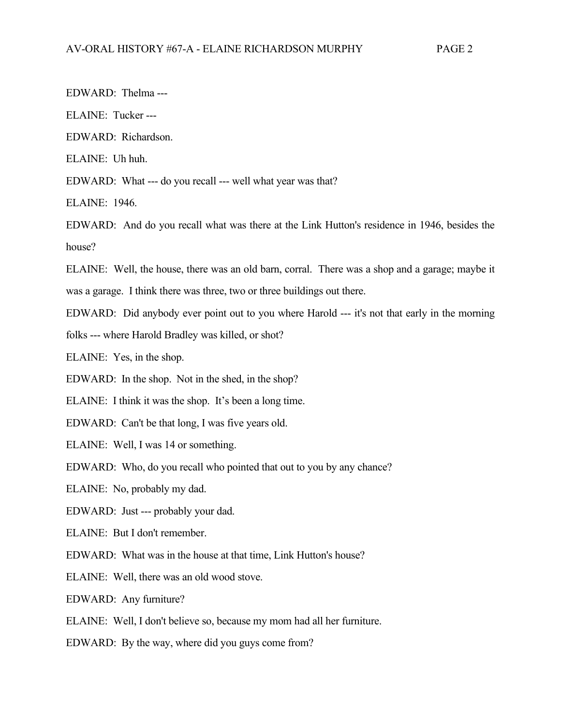EDWARD: Thelma ---

ELAINE: Tucker ---

EDWARD: Richardson.

ELAINE: Uh huh.

EDWARD: What --- do you recall --- well what year was that?

ELAINE: 1946.

EDWARD: And do you recall what was there at the Link Hutton's residence in 1946, besides the house?

ELAINE: Well, the house, there was an old barn, corral. There was a shop and a garage; maybe it was a garage. I think there was three, two or three buildings out there.

EDWARD: Did anybody ever point out to you where Harold --- it's not that early in the morning

folks --- where Harold Bradley was killed, or shot?

ELAINE: Yes, in the shop.

EDWARD: In the shop. Not in the shed, in the shop?

ELAINE: I think it was the shop. It's been a long time.

EDWARD: Can't be that long, I was five years old.

ELAINE: Well, I was 14 or something.

EDWARD: Who, do you recall who pointed that out to you by any chance?

ELAINE: No, probably my dad.

EDWARD: Just --- probably your dad.

ELAINE: But I don't remember.

EDWARD: What was in the house at that time, Link Hutton's house?

ELAINE: Well, there was an old wood stove.

EDWARD: Any furniture?

ELAINE: Well, I don't believe so, because my mom had all her furniture.

EDWARD: By the way, where did you guys come from?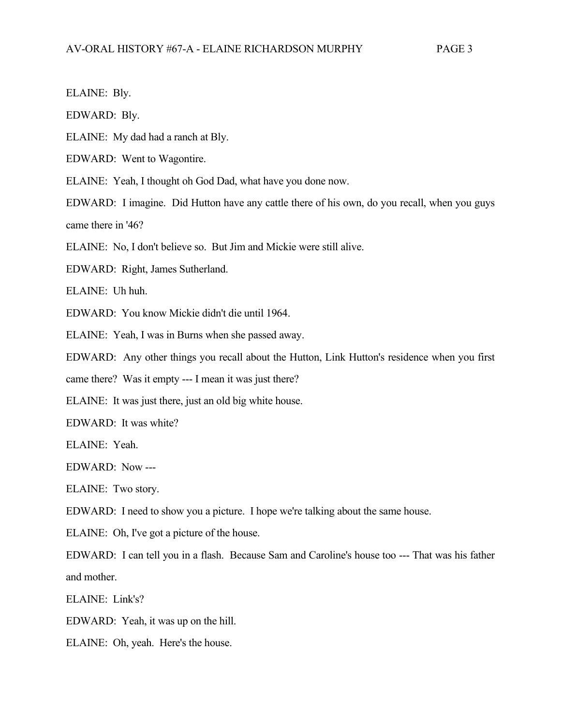ELAINE: Bly.

EDWARD: Bly.

ELAINE: My dad had a ranch at Bly.

EDWARD: Went to Wagontire.

ELAINE: Yeah, I thought oh God Dad, what have you done now.

EDWARD: I imagine. Did Hutton have any cattle there of his own, do you recall, when you guys came there in '46?

ELAINE: No, I don't believe so. But Jim and Mickie were still alive.

EDWARD: Right, James Sutherland.

ELAINE: Uh huh.

EDWARD: You know Mickie didn't die until 1964.

ELAINE: Yeah, I was in Burns when she passed away.

EDWARD: Any other things you recall about the Hutton, Link Hutton's residence when you first

came there? Was it empty --- I mean it was just there?

ELAINE: It was just there, just an old big white house.

EDWARD: It was white?

ELAINE: Yeah.

EDWARD: Now ---

ELAINE: Two story.

EDWARD: I need to show you a picture. I hope we're talking about the same house.

ELAINE: Oh, I've got a picture of the house.

EDWARD: I can tell you in a flash. Because Sam and Caroline's house too --- That was his father and mother.

ELAINE: Link's?

EDWARD: Yeah, it was up on the hill.

ELAINE: Oh, yeah. Here's the house.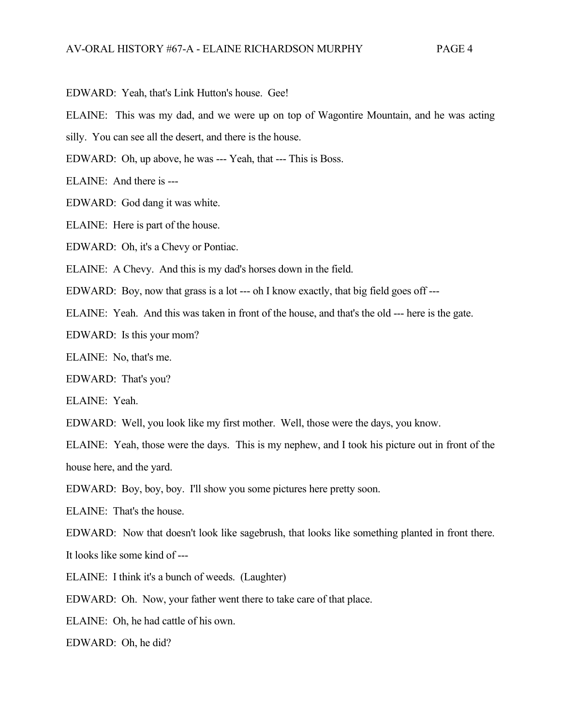EDWARD: Yeah, that's Link Hutton's house. Gee!

ELAINE: This was my dad, and we were up on top of Wagontire Mountain, and he was acting

silly. You can see all the desert, and there is the house.

EDWARD: Oh, up above, he was --- Yeah, that --- This is Boss.

ELAINE: And there is ---

EDWARD: God dang it was white.

ELAINE: Here is part of the house.

EDWARD: Oh, it's a Chevy or Pontiac.

ELAINE: A Chevy. And this is my dad's horses down in the field.

EDWARD: Boy, now that grass is a lot --- oh I know exactly, that big field goes off ---

ELAINE: Yeah. And this was taken in front of the house, and that's the old --- here is the gate.

EDWARD: Is this your mom?

ELAINE: No, that's me.

EDWARD: That's you?

ELAINE: Yeah.

EDWARD: Well, you look like my first mother. Well, those were the days, you know.

ELAINE: Yeah, those were the days. This is my nephew, and I took his picture out in front of the house here, and the yard.

EDWARD: Boy, boy, boy. I'll show you some pictures here pretty soon.

ELAINE: That's the house.

EDWARD: Now that doesn't look like sagebrush, that looks like something planted in front there.

It looks like some kind of ---

ELAINE: I think it's a bunch of weeds. (Laughter)

EDWARD: Oh. Now, your father went there to take care of that place.

ELAINE: Oh, he had cattle of his own.

EDWARD: Oh, he did?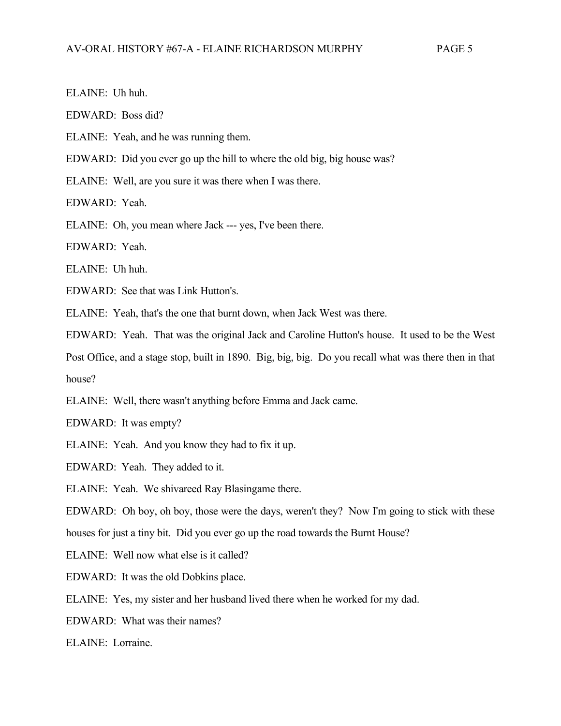ELAINE: Uh huh.

EDWARD: Boss did?

ELAINE: Yeah, and he was running them.

EDWARD: Did you ever go up the hill to where the old big, big house was?

ELAINE: Well, are you sure it was there when I was there.

EDWARD: Yeah.

ELAINE: Oh, you mean where Jack --- yes, I've been there.

EDWARD: Yeah.

ELAINE: Uh huh.

EDWARD: See that was Link Hutton's.

ELAINE: Yeah, that's the one that burnt down, when Jack West was there.

EDWARD: Yeah. That was the original Jack and Caroline Hutton's house. It used to be the West

Post Office, and a stage stop, built in 1890. Big, big, big. Do you recall what was there then in that house?

ELAINE: Well, there wasn't anything before Emma and Jack came.

EDWARD: It was empty?

ELAINE: Yeah. And you know they had to fix it up.

EDWARD: Yeah. They added to it.

ELAINE: Yeah. We shivareed Ray Blasingame there.

EDWARD: Oh boy, oh boy, those were the days, weren't they? Now I'm going to stick with these

houses for just a tiny bit. Did you ever go up the road towards the Burnt House?

ELAINE: Well now what else is it called?

EDWARD: It was the old Dobkins place.

ELAINE: Yes, my sister and her husband lived there when he worked for my dad.

EDWARD: What was their names?

ELAINE: Lorraine.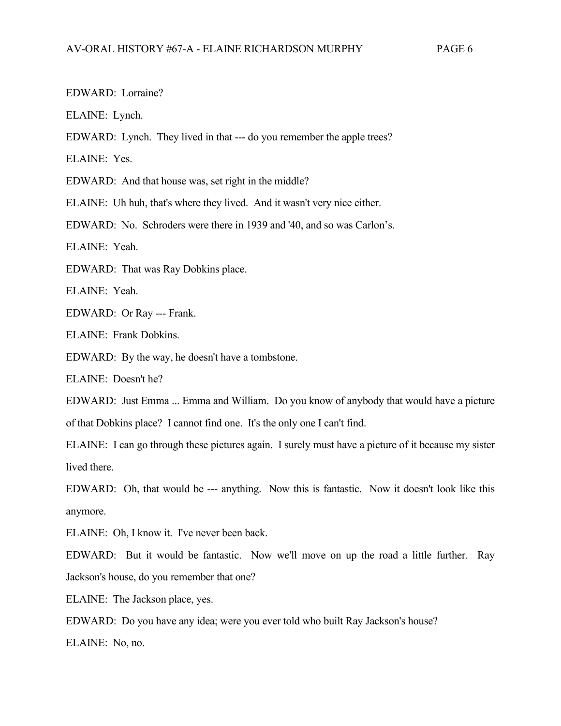EDWARD: Lorraine?

ELAINE: Lynch.

EDWARD: Lynch. They lived in that --- do you remember the apple trees?

ELAINE: Yes.

EDWARD: And that house was, set right in the middle?

ELAINE: Uh huh, that's where they lived. And it wasn't very nice either.

EDWARD: No. Schroders were there in 1939 and '40, and so was Carlon's.

ELAINE: Yeah.

EDWARD: That was Ray Dobkins place.

ELAINE: Yeah.

EDWARD: Or Ray --- Frank.

ELAINE: Frank Dobkins.

EDWARD: By the way, he doesn't have a tombstone.

ELAINE: Doesn't he?

EDWARD: Just Emma ... Emma and William. Do you know of anybody that would have a picture of that Dobkins place? I cannot find one. It's the only one I can't find.

ELAINE: I can go through these pictures again. I surely must have a picture of it because my sister lived there.

EDWARD: Oh, that would be --- anything. Now this is fantastic. Now it doesn't look like this anymore.

ELAINE: Oh, I know it. I've never been back.

EDWARD: But it would be fantastic. Now we'll move on up the road a little further. Ray Jackson's house, do you remember that one?

ELAINE: The Jackson place, yes.

EDWARD: Do you have any idea; were you ever told who built Ray Jackson's house?

ELAINE: No, no.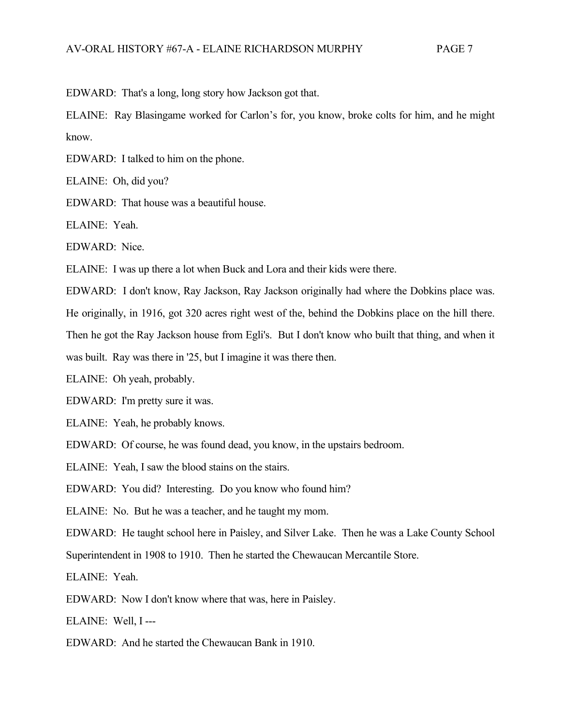EDWARD: That's a long, long story how Jackson got that.

ELAINE: Ray Blasingame worked for Carlon's for, you know, broke colts for him, and he might know.

EDWARD: I talked to him on the phone.

ELAINE: Oh, did you?

EDWARD: That house was a beautiful house.

ELAINE: Yeah.

EDWARD: Nice.

ELAINE: I was up there a lot when Buck and Lora and their kids were there.

EDWARD: I don't know, Ray Jackson, Ray Jackson originally had where the Dobkins place was.

He originally, in 1916, got 320 acres right west of the, behind the Dobkins place on the hill there.

Then he got the Ray Jackson house from Egli's. But I don't know who built that thing, and when it

was built. Ray was there in '25, but I imagine it was there then.

ELAINE: Oh yeah, probably.

EDWARD: I'm pretty sure it was.

ELAINE: Yeah, he probably knows.

EDWARD: Of course, he was found dead, you know, in the upstairs bedroom.

ELAINE: Yeah, I saw the blood stains on the stairs.

EDWARD: You did? Interesting. Do you know who found him?

ELAINE: No. But he was a teacher, and he taught my mom.

EDWARD: He taught school here in Paisley, and Silver Lake. Then he was a Lake County School Superintendent in 1908 to 1910. Then he started the Chewaucan Mercantile Store.

ELAINE: Yeah.

EDWARD: Now I don't know where that was, here in Paisley.

ELAINE: Well, I ---

EDWARD: And he started the Chewaucan Bank in 1910.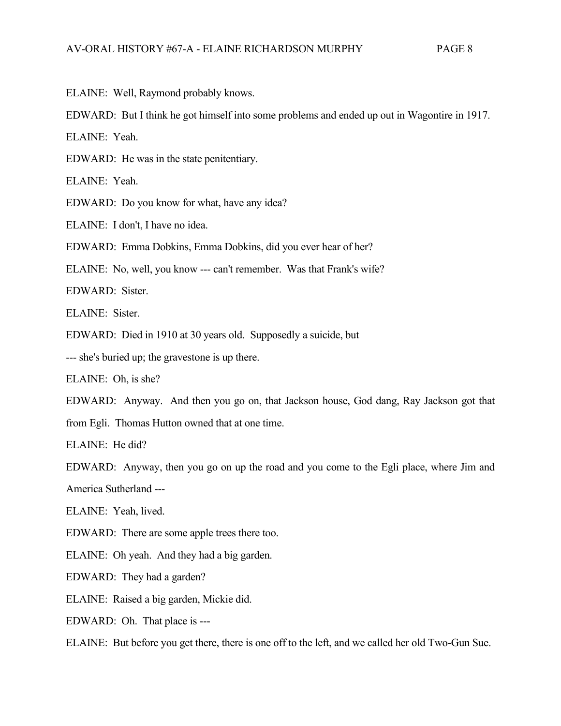ELAINE: Well, Raymond probably knows.

EDWARD: But I think he got himself into some problems and ended up out in Wagontire in 1917.

ELAINE: Yeah.

EDWARD: He was in the state penitentiary.

ELAINE: Yeah.

EDWARD: Do you know for what, have any idea?

ELAINE: I don't, I have no idea.

EDWARD: Emma Dobkins, Emma Dobkins, did you ever hear of her?

ELAINE: No, well, you know --- can't remember. Was that Frank's wife?

EDWARD: Sister.

ELAINE: Sister.

EDWARD: Died in 1910 at 30 years old. Supposedly a suicide, but

--- she's buried up; the gravestone is up there.

ELAINE: Oh, is she?

EDWARD: Anyway. And then you go on, that Jackson house, God dang, Ray Jackson got that

from Egli. Thomas Hutton owned that at one time.

ELAINE: He did?

EDWARD: Anyway, then you go on up the road and you come to the Egli place, where Jim and

America Sutherland ---

ELAINE: Yeah, lived.

EDWARD: There are some apple trees there too.

ELAINE: Oh yeah. And they had a big garden.

EDWARD: They had a garden?

ELAINE: Raised a big garden, Mickie did.

EDWARD: Oh. That place is ---

ELAINE: But before you get there, there is one off to the left, and we called her old Two-Gun Sue.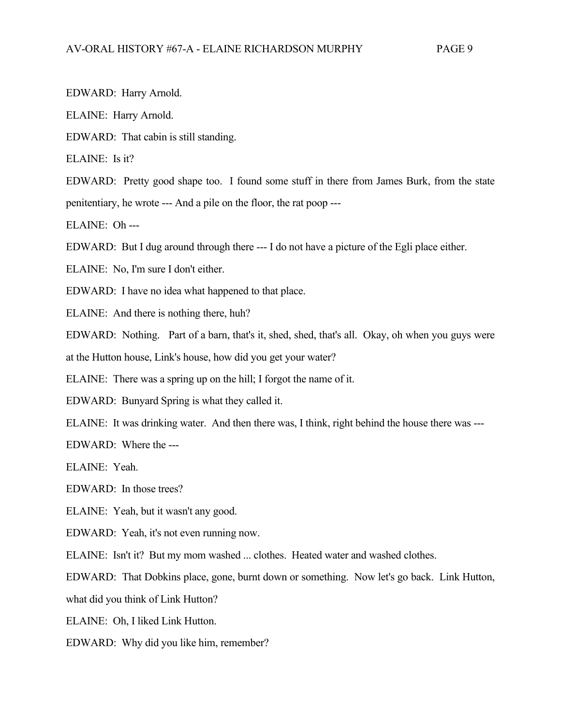EDWARD: Harry Arnold.

ELAINE: Harry Arnold.

EDWARD: That cabin is still standing.

ELAINE: Is it?

EDWARD: Pretty good shape too. I found some stuff in there from James Burk, from the state penitentiary, he wrote --- And a pile on the floor, the rat poop ---

ELAINE: Oh ---

EDWARD: But I dug around through there --- I do not have a picture of the Egli place either.

ELAINE: No, I'm sure I don't either.

EDWARD: I have no idea what happened to that place.

ELAINE: And there is nothing there, huh?

EDWARD: Nothing. Part of a barn, that's it, shed, shed, that's all. Okay, oh when you guys were

at the Hutton house, Link's house, how did you get your water?

ELAINE: There was a spring up on the hill; I forgot the name of it.

EDWARD: Bunyard Spring is what they called it.

ELAINE: It was drinking water. And then there was, I think, right behind the house there was ---

EDWARD: Where the ---

ELAINE: Yeah.

EDWARD: In those trees?

ELAINE: Yeah, but it wasn't any good.

EDWARD: Yeah, it's not even running now.

ELAINE: Isn't it? But my mom washed ... clothes. Heated water and washed clothes.

EDWARD: That Dobkins place, gone, burnt down or something. Now let's go back. Link Hutton,

what did you think of Link Hutton?

ELAINE: Oh, I liked Link Hutton.

EDWARD: Why did you like him, remember?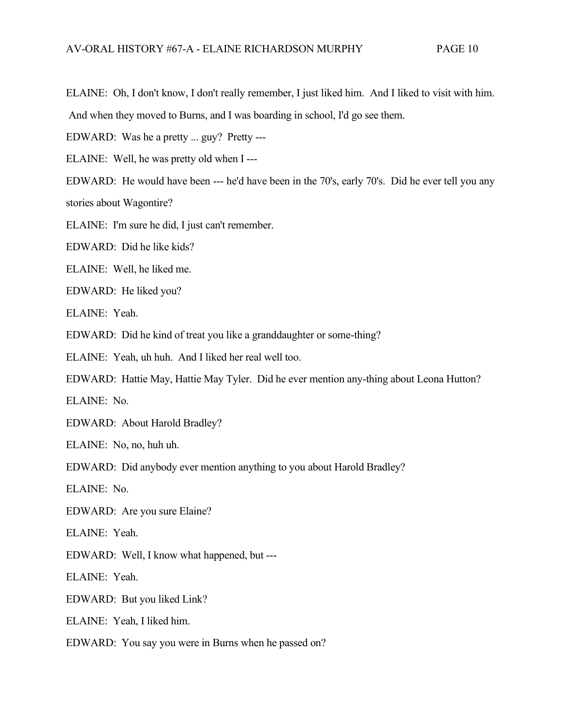ELAINE: Oh, I don't know, I don't really remember, I just liked him. And I liked to visit with him. And when they moved to Burns, and I was boarding in school, I'd go see them.

EDWARD: Was he a pretty ... guy? Pretty ---

ELAINE: Well, he was pretty old when I ---

EDWARD: He would have been --- he'd have been in the 70's, early 70's. Did he ever tell you any stories about Wagontire?

ELAINE: I'm sure he did, I just can't remember.

EDWARD: Did he like kids?

ELAINE: Well, he liked me.

EDWARD: He liked you?

ELAINE: Yeah.

EDWARD: Did he kind of treat you like a granddaughter or some-thing?

ELAINE: Yeah, uh huh. And I liked her real well too.

EDWARD: Hattie May, Hattie May Tyler. Did he ever mention any-thing about Leona Hutton?

ELAINE: No.

EDWARD: About Harold Bradley?

ELAINE: No, no, huh uh.

EDWARD: Did anybody ever mention anything to you about Harold Bradley?

ELAINE: No.

EDWARD: Are you sure Elaine?

ELAINE: Yeah.

EDWARD: Well, I know what happened, but ---

ELAINE: Yeah.

EDWARD: But you liked Link?

ELAINE: Yeah, I liked him.

EDWARD: You say you were in Burns when he passed on?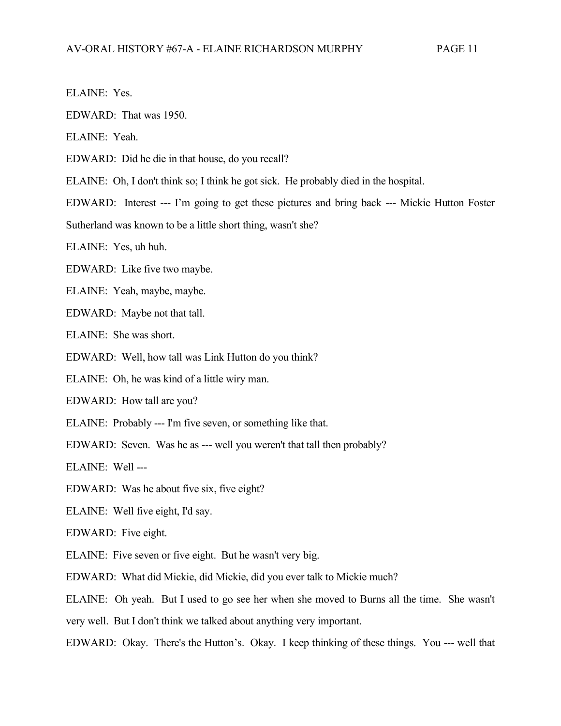ELAINE: Yes.

EDWARD: That was 1950.

ELAINE: Yeah.

EDWARD: Did he die in that house, do you recall?

ELAINE: Oh, I don't think so; I think he got sick. He probably died in the hospital.

EDWARD: Interest --- I'm going to get these pictures and bring back --- Mickie Hutton Foster

Sutherland was known to be a little short thing, wasn't she?

ELAINE: Yes, uh huh.

EDWARD: Like five two maybe.

ELAINE: Yeah, maybe, maybe.

EDWARD: Maybe not that tall.

ELAINE: She was short.

EDWARD: Well, how tall was Link Hutton do you think?

ELAINE: Oh, he was kind of a little wiry man.

EDWARD: How tall are you?

ELAINE: Probably --- I'm five seven, or something like that.

EDWARD: Seven. Was he as --- well you weren't that tall then probably?

ELAINE: Well ---

EDWARD: Was he about five six, five eight?

ELAINE: Well five eight, I'd say.

EDWARD: Five eight.

ELAINE: Five seven or five eight. But he wasn't very big.

EDWARD: What did Mickie, did Mickie, did you ever talk to Mickie much?

ELAINE: Oh yeah. But I used to go see her when she moved to Burns all the time. She wasn't

very well. But I don't think we talked about anything very important.

EDWARD: Okay. There's the Hutton's. Okay. I keep thinking of these things. You --- well that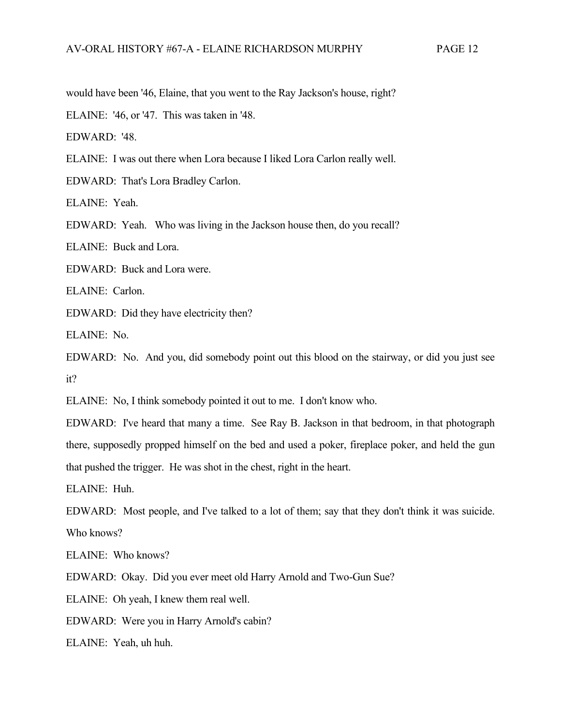would have been '46, Elaine, that you went to the Ray Jackson's house, right?

ELAINE: '46, or '47. This was taken in '48.

EDWARD: '48.

ELAINE: I was out there when Lora because I liked Lora Carlon really well.

EDWARD: That's Lora Bradley Carlon.

ELAINE: Yeah.

EDWARD: Yeah. Who was living in the Jackson house then, do you recall?

ELAINE: Buck and Lora.

EDWARD: Buck and Lora were.

ELAINE: Carlon.

EDWARD: Did they have electricity then?

ELAINE: No.

EDWARD: No. And you, did somebody point out this blood on the stairway, or did you just see it?

ELAINE: No, I think somebody pointed it out to me. I don't know who.

EDWARD: I've heard that many a time. See Ray B. Jackson in that bedroom, in that photograph there, supposedly propped himself on the bed and used a poker, fireplace poker, and held the gun that pushed the trigger. He was shot in the chest, right in the heart.

ELAINE: Huh.

EDWARD: Most people, and I've talked to a lot of them; say that they don't think it was suicide. Who knows?

ELAINE: Who knows?

EDWARD: Okay. Did you ever meet old Harry Arnold and Two-Gun Sue?

ELAINE: Oh yeah, I knew them real well.

EDWARD: Were you in Harry Arnold's cabin?

ELAINE: Yeah, uh huh.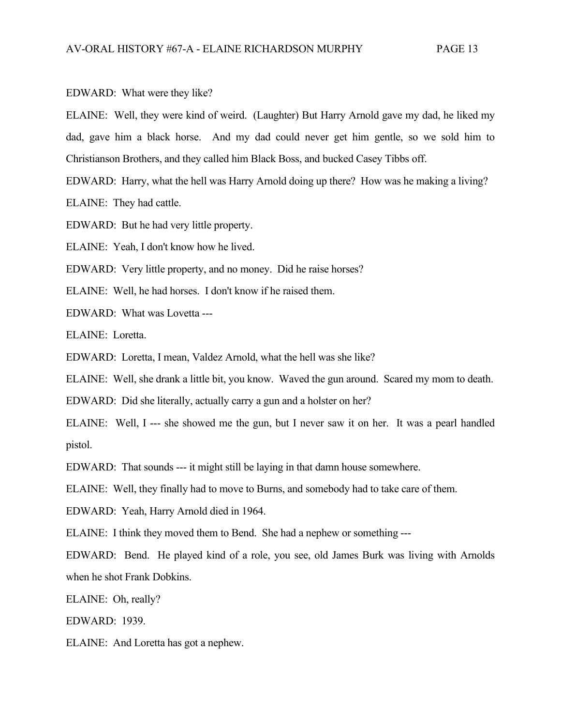EDWARD: What were they like?

ELAINE: Well, they were kind of weird. (Laughter) But Harry Arnold gave my dad, he liked my dad, gave him a black horse. And my dad could never get him gentle, so we sold him to Christianson Brothers, and they called him Black Boss, and bucked Casey Tibbs off.

EDWARD: Harry, what the hell was Harry Arnold doing up there? How was he making a living?

ELAINE: They had cattle.

EDWARD: But he had very little property.

ELAINE: Yeah, I don't know how he lived.

EDWARD: Very little property, and no money. Did he raise horses?

ELAINE: Well, he had horses. I don't know if he raised them.

EDWARD: What was Lovetta ---

ELAINE: Loretta.

EDWARD: Loretta, I mean, Valdez Arnold, what the hell was she like?

ELAINE: Well, she drank a little bit, you know. Waved the gun around. Scared my mom to death.

EDWARD: Did she literally, actually carry a gun and a holster on her?

ELAINE: Well, I --- she showed me the gun, but I never saw it on her. It was a pearl handled pistol.

EDWARD: That sounds --- it might still be laying in that damn house somewhere.

ELAINE: Well, they finally had to move to Burns, and somebody had to take care of them.

EDWARD: Yeah, Harry Arnold died in 1964.

ELAINE: I think they moved them to Bend. She had a nephew or something ---

EDWARD: Bend. He played kind of a role, you see, old James Burk was living with Arnolds when he shot Frank Dobkins.

ELAINE: Oh, really?

EDWARD: 1939.

ELAINE: And Loretta has got a nephew.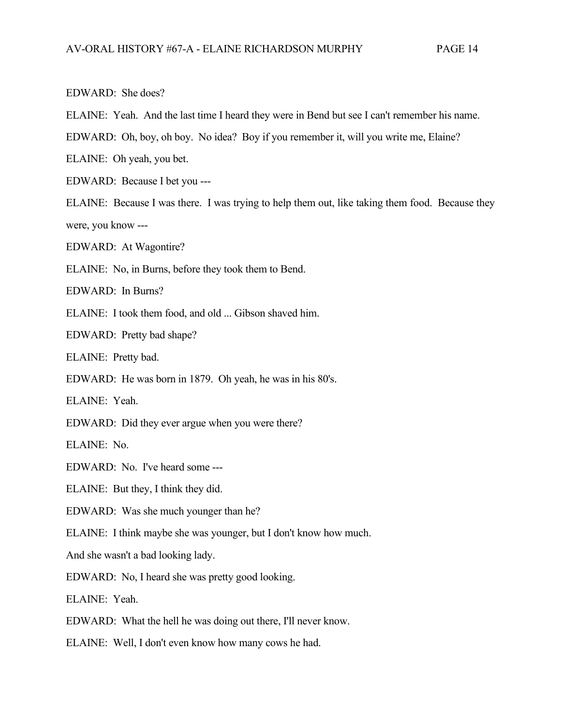EDWARD: She does?

ELAINE: Yeah. And the last time I heard they were in Bend but see I can't remember his name.

EDWARD: Oh, boy, oh boy. No idea? Boy if you remember it, will you write me, Elaine?

ELAINE: Oh yeah, you bet.

EDWARD: Because I bet you ---

ELAINE: Because I was there. I was trying to help them out, like taking them food. Because they were, you know ---

EDWARD: At Wagontire?

ELAINE: No, in Burns, before they took them to Bend.

EDWARD: In Burns?

ELAINE: I took them food, and old ... Gibson shaved him.

EDWARD: Pretty bad shape?

ELAINE: Pretty bad.

EDWARD: He was born in 1879. Oh yeah, he was in his 80's.

ELAINE: Yeah.

EDWARD: Did they ever argue when you were there?

ELAINE: No.

EDWARD: No. I've heard some ---

ELAINE: But they, I think they did.

EDWARD: Was she much younger than he?

ELAINE: I think maybe she was younger, but I don't know how much.

And she wasn't a bad looking lady.

EDWARD: No, I heard she was pretty good looking.

ELAINE: Yeah.

EDWARD: What the hell he was doing out there, I'll never know.

ELAINE: Well, I don't even know how many cows he had.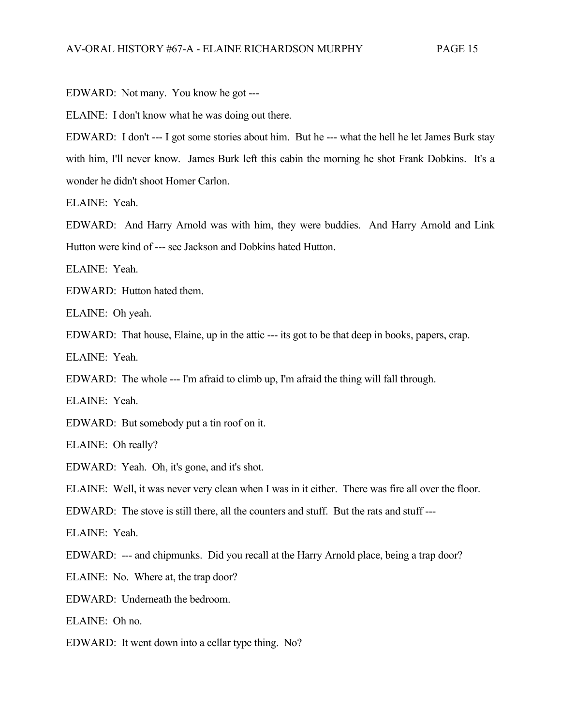EDWARD: Not many. You know he got ---

ELAINE: I don't know what he was doing out there.

EDWARD: I don't --- I got some stories about him. But he --- what the hell he let James Burk stay with him, I'll never know. James Burk left this cabin the morning he shot Frank Dobkins. It's a wonder he didn't shoot Homer Carlon.

ELAINE: Yeah.

EDWARD: And Harry Arnold was with him, they were buddies. And Harry Arnold and Link Hutton were kind of --- see Jackson and Dobkins hated Hutton.

ELAINE: Yeah.

EDWARD: Hutton hated them.

ELAINE: Oh yeah.

EDWARD: That house, Elaine, up in the attic --- its got to be that deep in books, papers, crap.

ELAINE: Yeah.

EDWARD: The whole --- I'm afraid to climb up, I'm afraid the thing will fall through.

ELAINE: Yeah.

EDWARD: But somebody put a tin roof on it.

ELAINE: Oh really?

EDWARD: Yeah. Oh, it's gone, and it's shot.

ELAINE: Well, it was never very clean when I was in it either. There was fire all over the floor.

EDWARD: The stove is still there, all the counters and stuff. But the rats and stuff ---

ELAINE: Yeah.

EDWARD: --- and chipmunks. Did you recall at the Harry Arnold place, being a trap door?

ELAINE: No. Where at, the trap door?

EDWARD: Underneath the bedroom.

ELAINE: Oh no.

EDWARD: It went down into a cellar type thing. No?